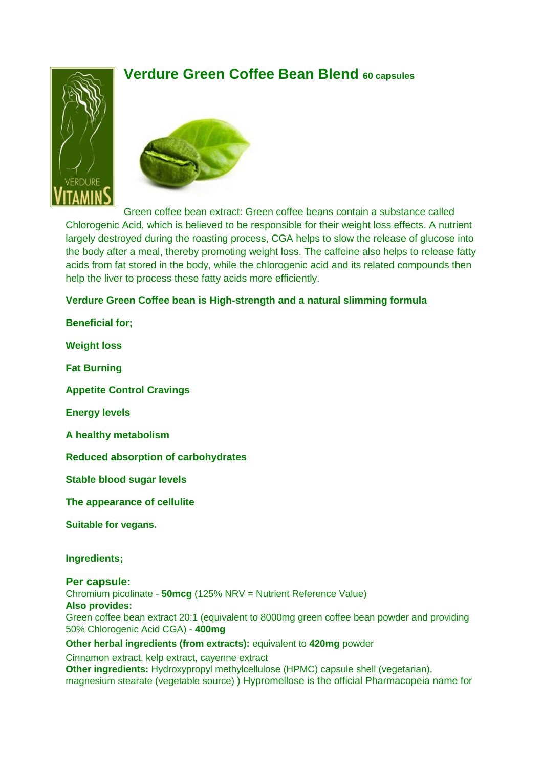# **Verdure Green Coffee Bean Blend 60 capsules**





Green coffee bean extract: Green coffee beans contain a substance called Chlorogenic Acid, which is believed to be responsible for their weight loss effects. A nutrient largely destroyed during the roasting process, CGA helps to slow the release of glucose into the body after a meal, thereby promoting weight loss. The caffeine also helps to release fatty acids from fat stored in the body, while the chlorogenic acid and its related compounds then help the liver to process these fatty acids more efficiently.

### **Verdure Green Coffee bean is High-strength and a natural slimming formula**

**Beneficial for;**

**Weight loss**

**Fat Burning**

**Appetite Control Cravings**

**Energy levels**

**A healthy metabolism**

**Reduced absorption of carbohydrates**

**Stable blood sugar levels** 

**The appearance of cellulite**

**Suitable for vegans.**

**Ingredients;**

#### **Per capsule:**

Chromium picolinate - **50mcg** (125% NRV = Nutrient Reference Value) **Also provides:** Green coffee bean extract 20:1 (equivalent to 8000mg green coffee bean powder and providing 50% Chlorogenic Acid CGA) - **400mg**

#### **Other herbal ingredients (from extracts):** equivalent to **420mg** powder

Cinnamon extract, kelp extract, cayenne extract **Other ingredients:** Hydroxypropyl methylcellulose (HPMC) capsule shell (vegetarian), magnesium stearate (vegetable source) ) Hypromellose is the official Pharmacopeia name for